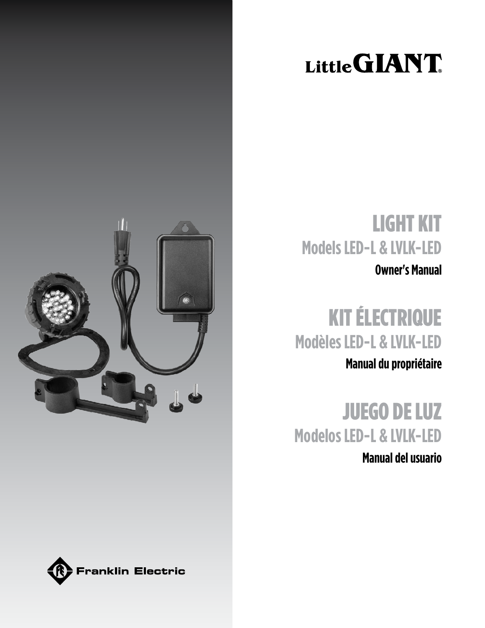# Little GIANT



# LIGHT KIT **Models LED-L & LVLK-LED**

**Owner's Manual**

# KIT ÉLECTRIQUE **Modèles LED-L & LVLK-LED**

**Manual du propriétaire**

JUEGO DE LUZ **Modelos LED-L & LVLK-LED**

**Manual del usuario**

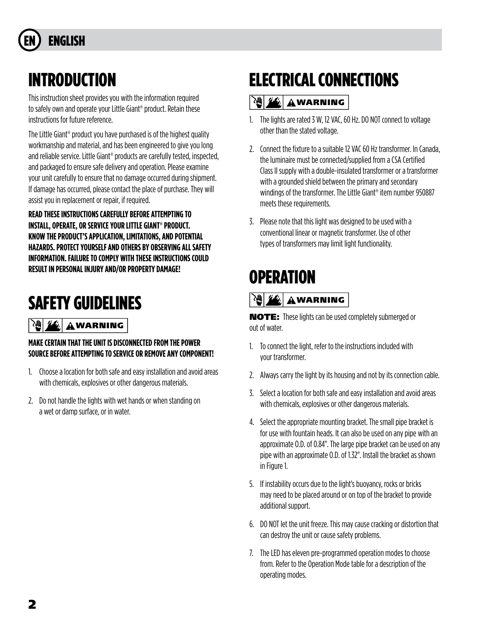# **ENGLISH**

## INTRODUCTION

This instruction sheet provides you with the information required to safely own and operate your Little Giant® product. Retain these instructions for future reference.

The Little Giant® product you have purchased is of the highest quality workmanship and material, and has been engineered to give you long and reliable service. Little Giant® products are carefully tested, inspected, and packaged to ensure safe delivery and operation. Please examine your unit carefully to ensure that no damage occurred during shipment. If damage has occurred, please contact the place of purchase. They will assist you in replacement or repair, if required.

**READ THESE INSTRUCTIONS CAREFULLY BEFORE ATTEMPTING TO INSTALL, OPERATE, OR SERVICE YOUR LITTLE GIANT® PRODUCT. KNOW THE PRODUCT'S APPLICATION, LIMITATIONS, AND POTENTIAL HAZARDS. PROTECT YOURSELF AND OTHERS BY OBSERVING ALL SAFETY INFORMATION. FAILURE TO COMPLY WITH THESE INSTRUCTIONS COULD RESULT IN PERSONAL INJURY AND/OR PROPERTY DAMAGE!**

# SAFETY GUIDELINES

#### 꼛  $\mathbf{w}_i$ **AWARNING**

### **MAKE CERTAIN THAT THE UNIT IS DISCONNECTED FROM THE POWER SOURCE BEFORE ATTEMPTING TO SERVICE OR REMOVE ANY COMPONENT!**

- 1. Choose a location for both safe and easy installation and avoid areas with chemicals, explosives or other dangerous materials.
- 2. Do not handle the lights with wet hands or when standing on a wet or damp surface, or in water.

# ELECTRICAL CONNECTIONS

### <sup>74</sup>义组合 AWARNING

- 1. The lights are rated 3 W, 12 VAC, 60 Hz. DO NOT connect to voltage other than the stated voltage.
- 2. Connect the fixture to a suitable 12 VAC 60 Hz transformer. In Canada, the luminaire must be connected/supplied from a CSA Certified Class II supply with a double-insulated transformer or a transformer with a grounded shield between the primary and secondary windings of the transformer. The Little Giant® item number 950887 meets these requirements.
- 3. Please note that this light was designed to be used with a conventional linear or magnetic transformer. Use of other types of transformers may limit light functionality.

# **OPERATION**

### **WARNING**

NOTE: These lights can be used completely submerged or out of water.

- 1. To connect the light, refer to the instructions included with your transformer.
- 2. Always carry the light by its housing and not by its connection cable.
- 3. Select a location for both safe and easy installation and avoid areas with chemicals, explosives or other dangerous materials.
- 4. Select the appropriate mounting bracket. The small pipe bracket is for use with fountain heads. It can also be used on any pipe with an approximate O.D. of 0.84". The large pipe bracket can be used on any pipe with an approximate O.D. of 1.32". Install the bracket as shown in Figure 1.
- 5. If instability occurs due to the light's buoyancy, rocks or bricks may need to be placed around or on top of the bracket to provide additional support.
- 6. DO NOT let the unit freeze. This may cause cracking or distortion that can destroy the unit or cause safety problems.
- 7. The LED has eleven pre-programmed operation modes to choose from. Refer to the Operation Mode table for a description of the operating modes.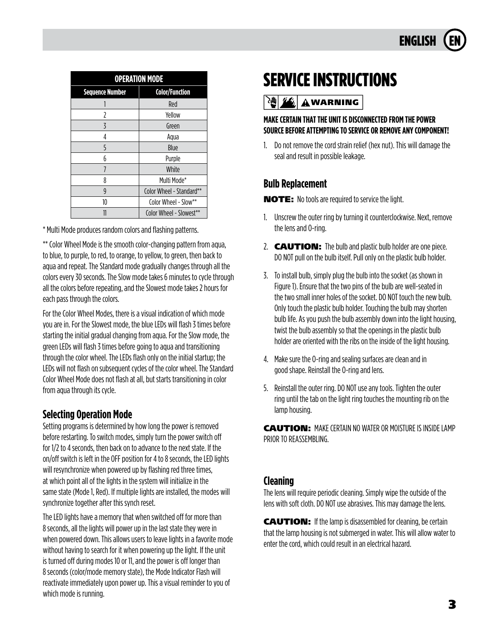

| <b>OPERATION MODE</b>  |                          |  |  |
|------------------------|--------------------------|--|--|
| <b>Sequence Number</b> | <b>Color/Function</b>    |  |  |
|                        | Red                      |  |  |
| 7                      | Yellow                   |  |  |
| 3                      | Green                    |  |  |
| 4                      | Aqua                     |  |  |
| 5                      | Blue                     |  |  |
| h                      | Purple                   |  |  |
| 7                      | White                    |  |  |
| 8                      | Multi Mode*              |  |  |
| g                      | Color Wheel - Standard** |  |  |
| 10                     | Color Wheel - Slow**     |  |  |
|                        | Color Wheel - Slowest**  |  |  |

\* Multi Mode produces random colors and flashing patterns.

\*\* Color Wheel Mode is the smooth color-changing pattern from aqua, to blue, to purple, to red, to orange, to yellow, to green, then back to aqua and repeat. The Standard mode gradually changes through all the colors every 30 seconds. The Slow mode takes 6 minutes to cycle through all the colors before repeating, and the Slowest mode takes 2 hours for each pass through the colors.

For the Color Wheel Modes, there is a visual indication of which mode you are in. For the Slowest mode, the blue LEDs will flash 3 times before starting the initial gradual changing from aqua. For the Slow mode, the green LEDs will flash 3 times before going to aqua and transitioning through the color wheel. The LEDs flash only on the initial startup; the LEDs will not flash on subsequent cycles of the color wheel. The Standard Color Wheel Mode does not flash at all, but starts transitioning in color from aqua through its cycle.

### **Selecting Operation Mode**

Setting programs is determined by how long the power is removed before restarting. To switch modes, simply turn the power switch off for 1/2 to 4 seconds, then back on to advance to the next state. If the on/off switch is left in the OFF position for 4 to 8 seconds, the LED lights will resynchronize when powered up by flashing red three times, at which point all of the lights in the system will initialize in the same state (Mode 1, Red). If multiple lights are installed, the modes will synchronize together after this synch reset.

The LED lights have a memory that when switched off for more than 8 seconds, all the lights will power up in the last state they were in when powered down. This allows users to leave lights in a favorite mode without having to search for it when powering up the light. If the unit is turned off during modes 10 or 11, and the power is off longer than 8 seconds (color/mode memory state), the Mode Indicator Flash will reactivate immediately upon power up. This a visual reminder to you of which mode is running.

# SERVICE INSTRUCTIONS

**WARNING** 

### **MAKE CERTAIN THAT THE UNIT IS DISCONNECTED FROM THE POWER SOURCE BEFORE ATTEMPTING TO SERVICE OR REMOVE ANY COMPONENT!**

1. Do not remove the cord strain relief (hex nut). This will damage the seal and result in possible leakage.

### **Bulb Replacement**

NOTE: No tools are required to service the light.

- 1. Unscrew the outer ring by turning it counterclockwise. Next, remove the lens and O-ring.
- 2. **CAUTION:** The bulb and plastic bulb holder are one piece. DO NOT pull on the bulb itself. Pull only on the plastic bulb holder.
- 3. To install bulb, simply plug the bulb into the socket (as shown in Figure 1). Ensure that the two pins of the bulb are well-seated in the two small inner holes of the socket. DO NOT touch the new bulb. Only touch the plastic bulb holder. Touching the bulb may shorten bulb life. As you push the bulb assembly down into the light housing, twist the bulb assembly so that the openings in the plastic bulb holder are oriented with the ribs on the inside of the light housing.
- 4. Make sure the O-ring and sealing surfaces are clean and in good shape. Reinstall the O-ring and lens.
- 5. Reinstall the outer ring. DO NOT use any tools. Tighten the outer ring until the tab on the light ring touches the mounting rib on the lamp housing.

CAUTION: MAKE CERTAIN NO WATER OR MOISTURE IS INSIDE LAMP PRIOR TO REASSEMBLING.

### **Cleaning**

The lens will require periodic cleaning. Simply wipe the outside of the lens with soft cloth. DO NOT use abrasives. This may damage the lens.

CAUTION: If the lamp is disassembled for cleaning, be certain that the lamp housing is not submerged in water. This will allow water to enter the cord, which could result in an electrical hazard.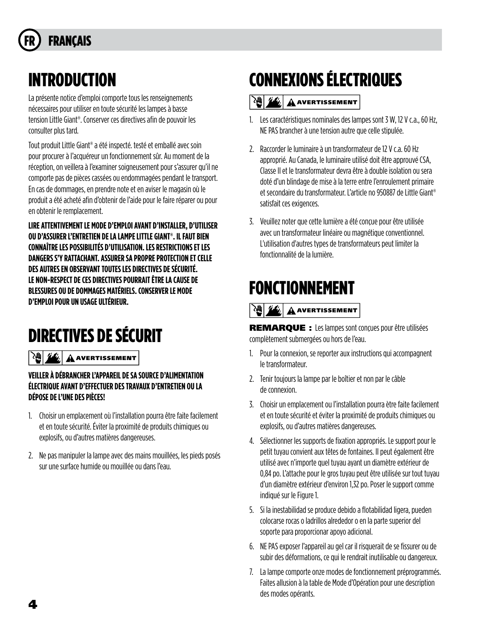# **FRANCAIS**

## INTRODUCTION

La présente notice d'emploi comporte tous les renseignements nécessaires pour utiliser en toute sécurité les lampes à basse tension Little Giant®. Conserver ces directives afin de pouvoir les consulter plus tard.

Tout produit Little Giant® a été inspecté. testé et emballé avec soin pour procurer à I'acquéreur un fonctionnement sûr. Au moment de la réception, on veillera à I'examiner soigneusement pour s'assurer qu'il ne comporte pas de pièces cassées ou endommagées pendant le transport. En cas de dommages, en prendre note et en aviser le magasin où le produit a été acheté afin d'obtenir de l'aide pour le faire réparer ou pour en obtenir le remplacement.

**LIRE ATTENTIVEMENT LE MODE D'EMPLOI AVANT D'INSTALLER, D'UTILISER OU D'ASSURER L'ENTRETIEN DE LA LAMPE LITTLE GIANT®. IL FAUT BIEN CONNAÎTRE LES POSSIBILITÉS D'UTILISATION. LES RESTRICTIONS ET LES DANGERS S'Y RATTACHANT. ASSURER SA PROPRE PROTECTION ET CELLE DES AUTRES EN OBSERVANT TOUTES LES DIRECTIVES DE SÉCURITÉ. LE NON-RESPECT DE CES DIRECTIVES POURRAIT ÊTRE LA CAUSE DE BLESSURES OU DE DOMMAGES MATÉRIELS. CONSERVER LE MODE D'EMPLOI POUR UN USAGE ULTÉRIEUR.**

# DIRECTIVES DE SÉCURIT

**AVERTISSEMENT** 

### **VEILLER À DÉBRANCHER L'APPAREIL DE SA SOURCE D'ALIMENTATION ÉLECTRIQUE AVANT D'EFFECTUER DES TRAVAUX D'ENTRETIEN OU LA DÉPOSE DE L'UNE DES PlÈCES!**

- 1. Choisir un emplacement où l'installation pourra être faite facilement et en toute sécurité. Éviter la proximité de produits chimiques ou explosifs, ou d'autres matières dangereuses.
- 2. Ne pas manipuler la lampe avec des mains mouillées, les pieds posés sur une surface humide ou mouillée ou dans l'eau.

# CONNEXIONS ÉLECTRIQUES

### **AVERTISSEMENT**

- 1. Les caractéristiques nominales des lampes sont 3 W, 12 V c.a., 60 Hz, NE PAS brancher à une tension autre que celle stipulée.
- 2. Raccorder le luminaire à un transformateur de 12 V c.a. 60 Hz approprié. Au Canada, le luminaire utilisé doit être approuvé CSA, Classe II et le transformateur devra être à double isolation ou sera doté d'un blindage de mise à la terre entre l'enroulement primaire et secondaire du transformateur. L'article no 950887 de Little Giant® satisfait ces exigences.
- 3. Veuillez noter que cette lumière a été conçue pour être utilisée avec un transformateur linéaire ou magnétique conventionnel. L'utilisation d'autres types de transformateurs peut limiter la fonctionnalité de la lumière.

## FONCTIONNEMENT

### $|\mathcal{P}(\bm{\psi})| \mathbf{Z}(\bm{\psi})|$   $\mathbf{A}$  avertissement

REMARQUE : Les lampes sont conçues pour être utilisées complètement submergées ou hors de l'eau.

- 1. Pour la connexion, se reporter aux instructions qui accompagnent le transformateur.
- 2. Tenir toujours la lampe par le boîtier et non par le câble de connexion.
- 3. Choisir un emplacement ou l'installation pourra ètre faite facilement et en toute sécurité et éviter la proximité de produits chimiques ou explosifs, ou d'autres matières dangereuses.
- 4. Sélectionner les supports de fixation appropriés. Le support pour le petit tuyau convient aux têtes de fontaines. II peut également être utilisé avec n'importe quel tuyau ayant un diamètre extérieur de 0,84 po. L'attache pour le gros tuyau peut être utilisée sur tout tuyau d'un diamètre extérieur d'environ 1,32 po. Poser le support comme indiqué sur le Figure 1.
- 5. Si la inestabilidad se produce debido a flotabilidad ligera, pueden colocarse rocas o ladrillos alrededor o en la parte superior del soporte para proporcionar apoyo adicional.
- 6. NE PAS exposer l'appareil au gel car il risquerait de se fissurer ou de subir des déformations, ce qui le rendrait inutilisable ou dangereux.
- 7. La lampe comporte onze modes de fonctionnement préprogrammés. Faites allusion à la table de Mode d'Opération pour une description des modes opérants.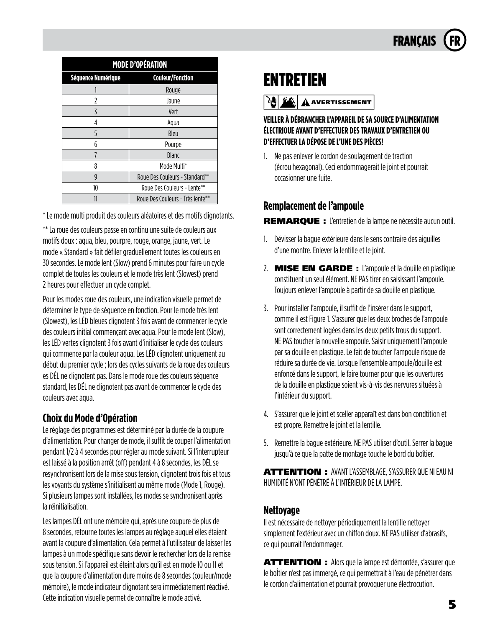

| <b>MODE D'OPÉRATION</b> |                                  |  |
|-------------------------|----------------------------------|--|
| Séquence Numérique      | <b>Couleur/Fonction</b>          |  |
|                         | Rouge                            |  |
| 7                       | Jaune                            |  |
| 3                       | Vert                             |  |
| 4                       | Aqua                             |  |
| 5                       | Bleu                             |  |
| 6                       | Pourpe                           |  |
| 7                       | <b>Blanc</b>                     |  |
| 8                       | Mode Multi*                      |  |
| 9                       | Roue Des Couleurs - Standard**   |  |
| 10                      | Roue Des Couleurs - Lente**      |  |
|                         | Roue Des Couleurs - Très lente** |  |

\* Le mode multi produit des couleurs aléatoires et des motifs clignotants.

\*\* La roue des couleurs passe en continu une suite de couleurs aux motifs doux : aqua, bleu, pourpre, rouge, orange, jaune, vert. Le mode « Standard » fait défiler graduellement toutes les couleurs en 30 secondes. Le mode lent (Slow) prend 6 minutes pour faire un cycle complet de toutes les couleurs et le mode très lent (Slowest) prend 2 heures pour effectuer un cycle complet.

Pour les modes roue des couleurs, une indication visuelle permet de déterminer le type de séquence en fonction. Pour le mode très lent (Slowest), les LÉD bleues clignotent 3 fois avant de commencer le cycle des couleurs initial commençant avec aqua. Pour le mode lent (Slow), les LÉD vertes clignotent 3 fois avant d'initialiser le cycle des couleurs qui commence par la couleur aqua. Les LÉD clignotent uniquement au début du premier cycle ; lors des cycles suivants de la roue des couleurs es DÉL ne clignotent pas. Dans le mode roue des couleurs séquence standard, les DÉL ne clignotent pas avant de commencer le cycle des couleurs avec aqua.

### **Choix du Mode d'Opération**

Le réglage des programmes est déterminé par la durée de la coupure d'alimentation. Pour changer de mode, il suffit de couper l'alimentation pendant 1/2 à 4 secondes pour régler au mode suivant. Si l'interrupteur est laissé à la position arrêt (off) pendant 4 à 8 secondes, les DÉL se resynchronisent lors de la mise sous tension, clignotent trois fois et tous les voyants du système s'initialisent au même mode (Mode 1, Rouge). Si plusieurs lampes sont installées, les modes se synchronisent après la réinitialisation.

Les lampes DÉL ont une mémoire qui, après une coupure de plus de 8 secondes, retourne toutes les lampes au réglage auquel elles étaient avant la coupure d'alimentation. Cela permet à l'utilisateur de laisser les lampes à un mode spécifique sans devoir le rechercher lors de la remise sous tension. Si l'appareil est éteint alors qu'il est en mode 10 ou 11 et que la coupure d'alimentation dure moins de 8 secondes (couleur/mode mémoire), le mode indicateur clignotant sera immédiatement réactivé. Cette indication visuelle permet de connaître le mode activé.

### ENTRETIEN

**AVERTISSEMENT** 

### **VEILLER À DÉBRANCHER L'APPAREIL DE SA SOURCE D'ALIMENTATION ÉLECTRlOUE AVANT D'EFFECTUER DES TRAVAUX D'ENTRETIEN OU D'EFFECTUER LA DÉPOSE DE L'UNE DES PlÈCES!**

1. Ne pas enlever le cordon de soulagement de traction (écrou hexagonal). Ceci endommagerait le joint et pourrait occasionner une fuite.

### **Remplacement de l'ampoule**

REMARQUE : L'entretien de la lampe ne nécessite aucun outil.

- 1. Dévisser la bague extérieure dans le sens contraire des aiguilles d'une montre. Enlever la lentille et le joint.
- 2. MISE EN GARDE : L'ampoule et la douille en plastique constituent un seul élément. NE PAS tirer en saisissant l'ampoule. Toujours enlever l'ampoule à partir de sa douille en plastique.
- 3. Pour installer l'ampoule, il suffit de l'insérer dans le support, comme il est Figure 1. S'assurer que les deux broches de l'ampoule sont correctement logées dans les deux petits trous du support. NE PAS toucher la nouvelle ampoule. Saisir uniquement l'ampoule par sa douille en plastique. Le fait de toucher l'ampoule risque de réduire sa durée de vie. Lorsque l'ensemble ampoule/douille est enfoncé dans le support, le faire tourner pour que les ouvertures de la douille en plastique soient vis-à-vis des nervures situées à l'intérieur du support.
- 4. S'assurer que le joint et sceller apparaît est dans bon condtition et est propre. Remettre le joint et la lentille.
- 5. Remettre la bague extérieure. NE PAS utiliser d'outil. Serrer la bague jusqu'à ce que la patte de montage touche le bord du boîtier.

ATTENTION : AVANT L'ASSEMBLAGE, S'ASSURER QUE Nl EAU Nl HUMIDITÉ N'ONT PÉNÉTRÉ À L'INTÉRIEUR DE LA LAMPE.

### **Nettoyage**

Il est nécessaire de nettoyer périodiquement la lentille nettoyer simplement l'extérieur avec un chiffon doux. NE PAS utiliser d'abrasifs, ce qui pourrait l'endommager.

ATTENTION : Alors que la lampe est démontée, s'assurer que le boÎtier n'est pas immergé, ce qui permettrait à I'eau de pénétrer dans le cordon d'alimentation et pourrait provoquer une électrocution.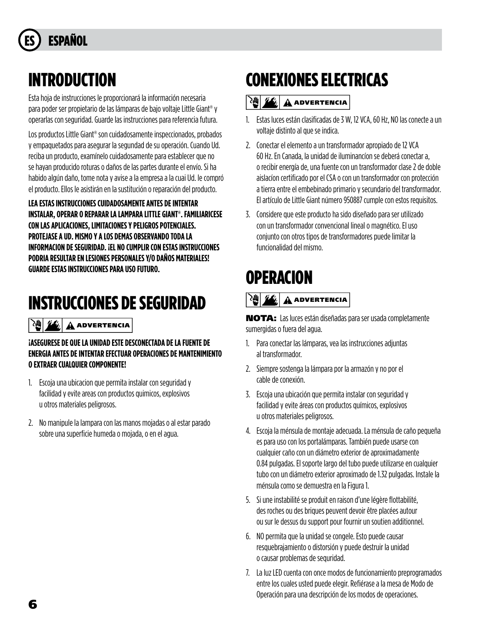# **ESPAÑOL**

## INTRODUCTION

Esta hoja de instrucciones le proporcionará la información necesaria para poder ser propietario de las lámparas de bajo voltaje Little Giant® y operarlas con seguridad. Guarde las instrucciones para referencia futura.

Los productos Little Giant® son cuidadosamente inspeccionados, probados y empaquetados para asegurar la segundad de su operación. Cuando Ud. reciba un producto, examínelo cuidadosamente para establecer que no se hayan producido roturas o daños de las partes durante el envío. Si ha habido algún daño, tome nota y avise a la empresa a la cuai Ud. Ie compró el producto. Ellos le asistirán en la sustitución o reparación del producto.

**LEA ESTAS INSTRUCCIONES CUIDADOSAMENTE ANTES DE INTENTAR INSTALAR, OPERAR O REPARAR LA LAMPARA LITTLE GIANT®. FAMILIARICESE CON LAS APLICACIONES, LIMITACIONES Y PELIGROS POTENCIALES. PROTEJASE A UD. MISMO Y A LOS DEMAS OBSERVANDO TODA LA INFORMACION DE SEGURIDAD. ¡EL NO CUMPLIR CON ESTAS INSTRUCCIONES PODRIA RESULTAR EN LESIONES PERSONALES Y/O DAÑOS MATERIALES! GUARDE ESTAS INSTRUCCIONES PARA USO FUTURO.**

# INSTRUCCIONES DE SEGURIDAD

### **ADVERTENCIA**

### **¡ASEGURESE DE QUE LA UNIDAD ESTE DESCONECTADA DE LA FUENTE DE ENERGIA ANTES DE INTENTAR EFECTUAR OPERACIONES DE MANTENIMIENTO O EXTRAER CUALQUIER COMPONENTE!**

- 1. Escoja una ubicacion que permita instalar con seguridad y facilidad y evite areas con productos quimicos, explosivos u otros materiales peligrosos.
- 2. No manipule la lampara con las manos mojadas o al estar parado sobre una superficie humeda o mojada, o en el agua.

# CONEXIONES ELECTRICAS

### **ADVERTENCIA**

- 1. Estas luces están clasificadas de 3 W, 12 VCA, 60 Hz, NO las conecte a un voltaje distinto al que se indica.
- 2. Conectar el elemento a un transformador apropiado de 12 VCA 60 Hz. En Canada, la unidad de iluminancíon se deberá conectar a, o recibir energía de, una fuente con un transformador clase 2 de doble aislacíon certificado por el CSA o con un transformador con protección a tierra entre el embebinado primario y secundario del transformador. El artículo de Little Giant número 950887 cumple con estos requisitos.
- 3. Considere que este producto ha sido diseñado para ser utilizado con un transformador convencional lineal o magnético. El uso conjunto con otros tipos de transformadores puede limitar la funcionalidad del mismo.

## **OPERACION**

### **ADVERTENCIA**

NOTA: Las luces están diseñadas para ser usada completamente sumergidas o fuera del agua.

- 1. Para conectar las lámparas, vea las instrucciones adjuntas al transformador.
- 2. Siempre sostenga la lámpara por la armazón y no por el cable de conexión.
- 3. Escoja una ubicación que permita instalar con seguridad y facilidad y evite áreas con productos químicos, explosivos u otros materiales peligrosos.
- 4. Escoja la ménsula de montaje adecuada. La ménsula de caño pequeña es para uso con los portalámparas. También puede usarse con cualquier caño con un diámetro exterior de aproximadamente 0.84 pulgadas. El soporte largo del tubo puede utilizarse en cualquier tubo con un diámetro exterior aproximado de 1.32 pulgadas. Instale la ménsula como se demuestra en la Figura 1.
- 5. Si une instabilité se produit en raison d'une légère flottabilité, des roches ou des briques peuvent devoir être placées autour ou sur le dessus du support pour fournir un soutien additionnel.
- 6. NO permita que la unidad se congele. Esto puede causar resquebrajamiento o distorsión y puede destruir la unidad o causar problemas de sequridad.
- 7. La luz LED cuenta con once modos de funcionamiento preprogramados entre los cuales usted puede elegir. Refiérase a la mesa de Modo de Operación para una descripción de los modos de operaciones.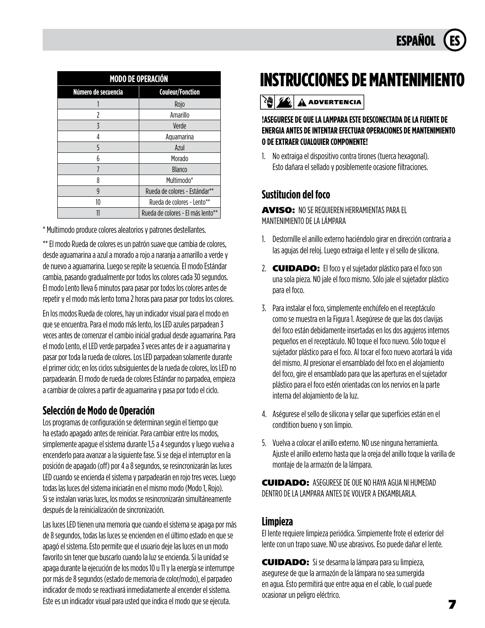

| <b>MODO DE OPERACIÓN</b> |                                   |  |  |
|--------------------------|-----------------------------------|--|--|
| Número de secuencia      | <b>Couleur/Fonction</b>           |  |  |
|                          | Rojo                              |  |  |
| 7                        | Amarillo                          |  |  |
| $\overline{5}$           | Verde                             |  |  |
| 4                        | Aquamarina                        |  |  |
| 5                        | Azul                              |  |  |
| h                        | Morado                            |  |  |
|                          | Blanco                            |  |  |
| 8                        | Multimodo*                        |  |  |
| 9                        | Rueda de colores - Estándar**     |  |  |
| 10                       | Rueda de colores - Lento**        |  |  |
|                          | Rueda de colores - El más lento** |  |  |

\* Multimodo produce colores aleatorios y patrones destellantes.

\*\* El modo Rueda de colores es un patrón suave que cambia de colores, desde aguamarina a azul a morado a rojo a naranja a amarillo a verde y de nuevo a aguamarina. Luego se repite la secuencia. El modo Estándar cambia, pasando gradualmente por todos los colores cada 30 segundos. El modo Lento lleva 6 minutos para pasar por todos los colores antes de repetir y el modo más lento toma 2 horas para pasar por todos los colores.

En los modos Rueda de colores, hay un indicador visual para el modo en que se encuentra. Para el modo más lento, los LED azules parpadean 3 veces antes de comenzar el cambio inicial gradual desde aguamarina. Para el modo Lento, el LED verde parpadea 3 veces antes de ir a aguamarina y pasar por toda la rueda de colores. Los LED parpadean solamente durante el primer ciclo; en los ciclos subsiguientes de la rueda de colores, los LED no parpadearán. El modo de rueda de colores Estándar no parpadea, empieza a cambiar de colores a partir de aguamarina y pasa por todo el ciclo.

### **Selección de Modo de Operación**

Los programas de configuración se determinan según el tiempo que ha estado apagado antes de reiniciar. Para cambiar entre los modos, simplemente apague el sistema durante 1,5 a 4 segundos y luego vuelva a encenderlo para avanzar a la siguiente fase. Si se deja el interruptor en la posición de apagado (off) por 4 a 8 segundos, se resincronizarán las luces LED cuando se encienda el sistema y parpadearán en rojo tres veces. Luego todas las luces del sistema iniciarán en el mismo modo (Modo 1, Rojo). Si se instalan varias luces, los modos se resincronizarán simultáneamente después de la reinicialización de sincronización.

Las luces LED tienen una memoria que cuando el sistema se apaga por más de 8 segundos, todas las luces se encienden en el último estado en que se apagó el sistema. Esto permite que el usuario deje las luces en un modo favorito sin tener que buscarlo cuando la luz se encienda. Si la unidad se apaga durante la ejecución de los modos 10 u 11 y la energía se interrumpe por más de 8 segundos (estado de memoria de color/modo), el parpadeo indicador de modo se reactivará inmediatamente al encender el sistema. Este es un indicador visual para usted que indica el modo que se ejecuta.

## **INSTRUCCIONES DE MANTENIMIENTO**

### $\left|\frac{\partial u}{\partial x}\right|$   $\mathbf{A}$  advertencia

#### **!ASEGURESE DE QUE LA LAMPARA ESTE DESCONECTADA DE LA FUENTE DE ENERGIA ANTES DE INTENTAR EFECTUAR OPERACIONES DE MANTENIMIENTO O DE EXTRAER CUALQUIER COMPONENTE!**

1. No extraiga el dispositivo contra tirones (tuerca hexagonal). Esto dañara el sellado y posiblemente ocasione filtraciones.

### **Sustitucion del foco**

AVISO: NO SE REQUIEREN HERRAMIENTAS PARA EL MANTENIMIENTO DE LA LÁMPARA

- 1. Destornílle el anillo externo haciéndolo girar en dirección contraria a las agujas del reloj. Luego extraiga el lente y el sello de silicona.
- 2. **CUIDADO:** El foco y el sujetador plástico para el foco son una sola pieza. NO jale el foco mismo. Sólo jale el sujetador plástico para el foco.
- 3. Para instalar el foco, simplemente enchúfelo en el receptáculo como se muestra en la Figura 1. Asegúrese de que las dos clavijas del foco están debidamente insertadas en los dos agujeros internos pequeños en el receptáculo. NO toque el foco nuevo. Sólo toque el sujetador plástico para el foco. Al tocar el foco nuevo acortará la vida del mismo. Al presionar el ensamblado del foco en el alojamiento del foco, gire el ensamblado para que las aperturas en el sujetador plástico para el foco estén orientadas con los nervios en la parte interna del alojamiento de la luz.
- 4. Aségurese el sello de silicona y sellar que superficies están en el condtition bueno y son limpio.
- 5. Vuelva a colocar el anillo externo. NO use ninguna herramienta. Ajuste el anillo externo hasta que la oreja del anillo toque la varilla de montaje de la armazón de la lámpara.

CUIDADO: ASEGURESE DE OUE NO HAYA AGUA Nl HUMEDAD DENTRO DE LA LAMPARA ANTES DE VOLVER A ENSAMBLARLA.

### **Limpieza**

El lente requiere limpieza periódica. Simpiemente frote el exterior del lente con un trapo suave. NO use abrasivos. Eso puede dañar el lente.

CUIDADO: Si se desarma la lámpara para su limpieza, asegurese de que la armazón de la lámpara no sea sumergida en agua. Esto permitirá que entre aqua en el cable, lo cual puede ocasionar un peligro eléctrico.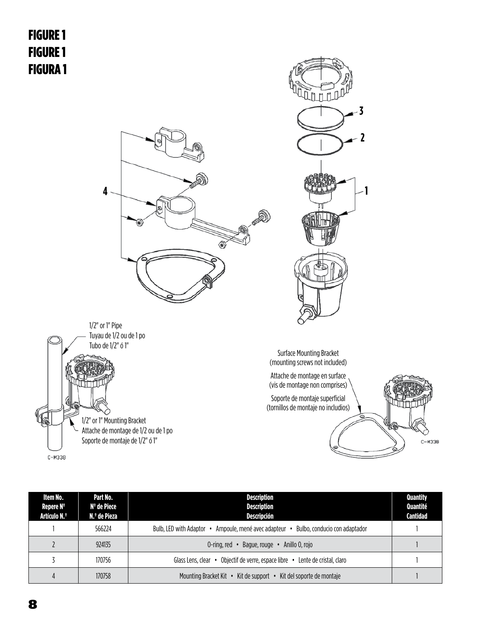



| Item No.<br>Repere Nº<br>Artículo N.º | Part No.<br>Nº de Piece<br>N.º de Pieza | <b>Description</b><br><b>Description</b><br>Descripción                                | <b>Quantity</b><br>Quantité<br>Cantidad |
|---------------------------------------|-----------------------------------------|----------------------------------------------------------------------------------------|-----------------------------------------|
|                                       | 566224                                  | Bulbo, conducio con adaptador<br>Bulb, LED with Adaptor<br>Ampoule, mené avec adapteur |                                         |
|                                       | 924135                                  | 0-ring, red<br>Baque, rouge<br>Anillo O. rojo                                          |                                         |
|                                       | 170756                                  | Objectif de verre, espace libre •<br>Lente de cristal, claro<br>Glass Lens. clear •    |                                         |
|                                       | 170758                                  | Kit de support • Kit del soporte de montaie<br>Mounting Bracket Kit •                  |                                         |

 $C-M338$ 

 $C-M338$ 

Soporte de montaje de 1/2" ó 1"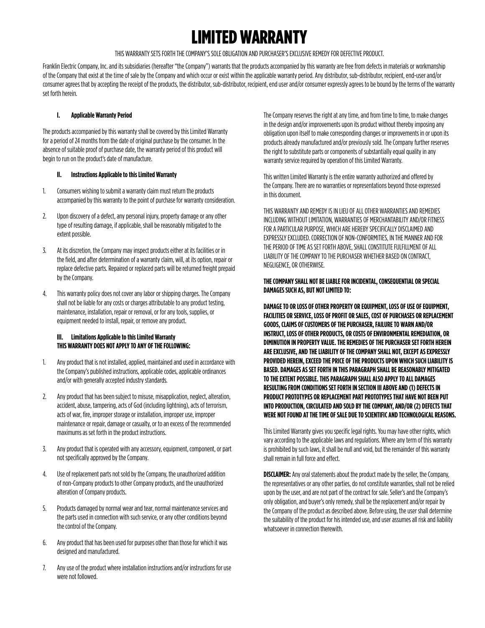## LIMITED WARRANTY

THIS WARRANTY SETS FORTH THE COMPANY'S SOLE OBLIGATION AND PURCHASER'S EXCLUSIVE REMEDY FOR DEFECTIVE PRODUCT.

Franklin Electric Company, Inc. and its subsidiaries (hereafter "the Company") warrants that the products accompanied by this warranty are free from defects in materials or workmanship of the Company that exist at the time of sale by the Company and which occur or exist within the applicable warranty period. Any distributor, sub-distributor, recipient, end-user and/or consumer agrees that by accepting the receipt of the products, the distributor, sub-distributor, recipient, end user and/or consumer expressly agrees to be bound by the terms of the warranty set forth herein.

#### **I. Applicable Warranty Period**

The products accompanied by this warranty shall be covered by this Limited Warranty for a period of 24 months from the date of original purchase by the consumer. In the absence of suitable proof of purchase date, the warranty period of this product will begin to run on the product's date of manufacture.

#### **II. Instructions Applicable to this Limited Warranty**

- 1. Consumers wishing to submit a warranty claim must return the products accompanied by this warranty to the point of purchase for warranty consideration.
- 2. Upon discovery of a defect, any personal injury, property damage or any other type of resulting damage, if applicable, shall be reasonably mitigated to the extent possible.
- 3. At its discretion, the Company may inspect products either at its facilities or in the field, and after determination of a warranty claim, will, at its option, repair or replace defective parts. Repaired or replaced parts will be returned freight prepaid by the Company.
- 4. This warranty policy does not cover any labor or shipping charges. The Company shall not be liable for any costs or charges attributable to any product testing, maintenance, installation, repair or removal, or for any tools, supplies, or equipment needed to install, repair, or remove any product.

#### **III. Limitations Applicable to this Limited Warranty THIS WARRANTY DOES NOT APPLY TO ANY OF THE FOLLOWING:**

- 1. Any product that is not installed, applied, maintained and used in accordance with the Company's published instructions, applicable codes, applicable ordinances and/or with generally accepted industry standards.
- 2. Any product that has been subject to misuse, misapplication, neglect, alteration, accident, abuse, tampering, acts of God (including lightning), acts of terrorism, acts of war, fire, improper storage or installation, improper use, improper maintenance or repair, damage or casualty, or to an excess of the recommended maximums as set forth in the product instructions.
- 3. Any product that is operated with any accessory, equipment, component, or part not specifically approved by the Company.
- 4. Use of replacement parts not sold by the Company, the unauthorized addition of non-Company products to other Company products, and the unauthorized alteration of Company products.
- 5. Products damaged by normal wear and tear, normal maintenance services and the parts used in connection with such service, or any other conditions beyond the control of the Company.
- 6. Any product that has been used for purposes other than those for which it was designed and manufactured.
- 7. Any use of the product where installation instructions and/or instructions for use were not followed.

The Company reserves the right at any time, and from time to time, to make changes in the design and/or improvements upon its product without thereby imposing any obligation upon itself to make corresponding changes or improvements in or upon its products already manufactured and/or previously sold. The Company further reserves the right to substitute parts or components of substantially equal quality in any warranty service required by operation of this Limited Warranty.

This written Limited Warranty is the entire warranty authorized and offered by the Company. There are no warranties or representations beyond those expressed in this document.

THIS WARRANTY AND REMEDY IS IN LIEU OF ALL OTHER WARRANTIES AND REMEDIES INCLUDING WITHOUT LIMITATION, WARRANTIES OF MERCHANTABILITY AND/OR FITNESS FOR A PARTICULAR PURPOSE, WHICH ARE HEREBY SPECIFICALLY DISCLAIMED AND EXPRESSLY EXCLUDED. CORRECTION OF NON-CONFORMITIES, IN THE MANNER AND FOR THE PERIOD OF TIME AS SET FORTH ABOVE, SHALL CONSTITUTE FULFILLMENT OF ALL LIABILITY OF THE COMPANY TO THE PURCHASER WHETHER BASED ON CONTRACT, NEGLIGENCE, OR OTHERWISE.

#### **THE COMPANY SHALL NOT BE LIABLE FOR INCIDENTAL, CONSEQUENTIAL OR SPECIAL DAMAGES SUCH AS, BUT NOT LIMITED TO:**

**DAMAGE TO OR LOSS OF OTHER PROPERTY OR EQUIPMENT, LOSS OF USE OF EQUIPMENT, FACILITIES OR SERVICE, LOSS OF PROFIT OR SALES, COST OF PURCHASES OR REPLACEMENT GOODS, CLAIMS OF CUSTOMERS OF THE PURCHASER, FAILURE TO WARN AND/OR INSTRUCT, LOSS OF OTHER PRODUCTS, OR COSTS OF ENVIRONMENTAL REMEDIATION, OR DIMINUTION IN PROPERTY VALUE. THE REMEDIES OF THE PURCHASER SET FORTH HEREIN ARE EXCLUSIVE, AND THE LIABILITY OF THE COMPANY SHALL NOT, EXCEPT AS EXPRESSLY PROVIDED HEREIN, EXCEED THE PRICE OF THE PRODUCTS UPON WHICH SUCH LIABILITY IS BASED. DAMAGES AS SET FORTH IN THIS PARAGRAPH SHALL BE REASONABLY MITIGATED TO THE EXTENT POSSIBLE. THIS PARAGRAPH SHALL ALSO APPLY TO ALL DAMAGES RESULTING FROM CONDITIONS SET FORTH IN SECTION III ABOVE AND (1) DEFECTS IN PRODUCT PROTOTYPES OR REPLACEMENT PART PROTOTYPES THAT HAVE NOT BEEN PUT INTO PRODUCTION, CIRCULATED AND SOLD BY THE COMPANY, AND/OR (2) DEFECTS THAT WERE NOT FOUND AT THE TIME OF SALE DUE TO SCIENTIFIC AND TECHNOLOGICAL REASONS.**

This Limited Warranty gives you specific legal rights. You may have other rights, which vary according to the applicable laws and regulations. Where any term of this warranty is prohibited by such laws, it shall be null and void, but the remainder of this warranty shall remain in full force and effect.

**DISCLAIMER:** Any oral statements about the product made by the seller, the Company, the representatives or any other parties, do not constitute warranties, shall not be relied upon by the user, and are not part of the contract for sale. Seller's and the Company's only obligation, and buyer's only remedy, shall be the replacement and/or repair by the Company of the product as described above. Before using, the user shall determine the suitability of the product for his intended use, and user assumes all risk and liability whatsoever in connection therewith.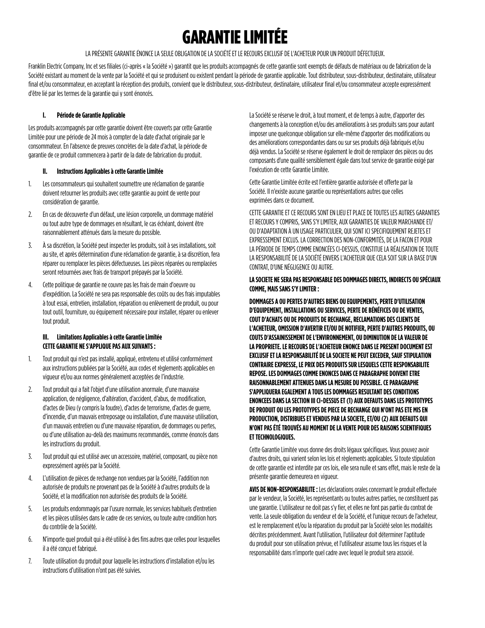## GARANTIE LIMITÉE

LA PRÉSENTE GARANTIE ÉNONCE LA SEULE OBLIGATION DE LA SOCIÉTÉ ET LE RECOURS EXCLUSIF DE L'ACHETEUR POUR UN PRODUIT DÉFECTUEUX.

Franklin Electric Company, Inc et ses filiales (ci-après « la Société ») garantit que les produits accompagnés de cette garantie sont exempts de défauts de matériaux ou de fabrication de la Société existant au moment de la vente par la Société et qui se produisent ou existent pendant la période de garantie applicable. Tout distributeur, sous-distributeur, destinataire, utilisateur final et/ou consommateur, en acceptant la réception des produits, convient que le distributeur, sous-distributeur, destinataire, utilisateur final et/ou consommateur accepte expressément d'être lié par les termes de la garantie qui y sont énoncés.

#### **I. Période de Garantie Applicable**

Les produits accompagnés par cette garantie doivent être couverts par cette Garantie Limitée pour une période de 24 mois à compter de la date d'achat originale par le consommateur. En l'absence de preuves concrètes de la date d'achat, la période de garantie de ce produit commencera à partir de la date de fabrication du produit.

#### **II. Instructions Applicables à cette Garantie Limitée**

- 1. Les consommateurs qui souhaitent soumettre une réclamation de garantie doivent retourner les produits avec cette garantie au point de vente pour considération de garantie.
- 2. En cas de découverte d'un défaut, une lésion corporelle, un dommage matériel ou tout autre type de dommages en résultant, le cas échéant, doivent être raisonnablement atténués dans la mesure du possible.
- 3. À sa discrétion, la Société peut inspecter les produits, soit à ses installations, soit au site, et après détermination d'une réclamation de garantie, à sa discrétion, fera réparer ou remplacer les pièces défectueuses. Les pièces réparées ou remplacées seront retournées avec frais de transport prépayés par la Société.
- 4. Cette politique de garantie ne couvre pas les frais de main d'oeuvre ou d'expédition. La Société ne sera pas responsable des coûts ou des frais imputables à tout essai, entretien, installation, réparation ou enlèvement de produit, ou pour tout outil, fourniture, ou équipement nécessaire pour installer, réparer ou enlever tout produit.

#### **III. Limitations Applicables à cette Garantie Limitée CETTE GARANTIE NE S'APPLIQUE PAS AUX SUIVANTS :**

- 1. Tout produit qui n'est pas installé, appliqué, entretenu et utilisé conformément aux instructions publiées par la Société, aux codes et règlements applicables en vigueur et/ou aux normes généralement acceptées de l'industrie.
- 2. Tout produit qui a fait l'objet d'une utilisation anormale, d'une mauvaise application, de négligence, d'altération, d'accident, d'abus, de modification, d'actes de Dieu (y compris la foudre), d'actes de terrorisme, d'actes de guerre, d'incendie, d'un mauvais entreposage ou installation, d'une mauvaise utilisation, d'un mauvais entretien ou d'une mauvaise réparation, de dommages ou pertes, ou d'une utilisation au-delà des maximums recommandés, comme énoncés dans les instructions du produit.
- 3. Tout produit qui est utilisé avec un accessoire, matériel, composant, ou pièce non expressément agréés par la Société.
- 4. L'utilisation de pièces de rechange non vendues par la Société, l'addition non autorisée de produits ne provenant pas de la Société à d'autres produits de la Société, et la modification non autorisée des produits de la Société.
- 5. Les produits endommagés par l'usure normale, les services habituels d'entretien et les pièces utilisées dans le cadre de ces services, ou toute autre condition hors du contrôle de la Société.
- 6. N'importe quel produit qui a été utilisé à des fins autres que celles pour lesquelles il a été conçu et fabriqué.
- 7. Toute utilisation du produit pour laquelle les instructions d'installation et/ou les instructions d'utilisation n'ont pas été suivies.

La Société se réserve le droit, à tout moment, et de temps à autre, d'apporter des changements à la conception et/ou des améliorations à ses produits sans pour autant imposer une quelconque obligation sur elle-même d'apporter des modifications ou des améliorations correspondantes dans ou sur ses produits déjà fabriqués et/ou déjà vendus. La Société se réserve également le droit de remplacer des pièces ou des composants d'une qualité sensiblement égale dans tout service de garantie exigé par l'exécution de cette Garantie Limitée.

Cette Garantie Limitée écrite est l'entière garantie autorisée et offerte par la Société. Il n'existe aucune garantie ou représentations autres que celles exprimées dans ce document.

CETTE GARANTIE ET CE RECOURS SONT EN LIEU ET PLACE DE TOUTES LES AUTRES GARANTIES ET RECOURS Y COMPRIS, SANS S'Y LIMITER, AUX GARANTIES DE VALEUR MARCHANDE ET/ OU D'ADAPTATION À UN USAGE PARTICULIER, QUI SONT ICI SPECIFIQUEMENT REJETES ET EXPRESSEMENT EXCLUS. LA CORRECTION DES NON-CONFORMITÉS, DE LA FACON ET POUR LA PÉRIODE DE TEMPS COMME ENONCÉES CI-DESSUS, CONSTITUE LA RÉALISATION DE TOUTE LA RESPONSABILITÉ DE LA SOCIÉTÉ ENVERS L'ACHETEUR QUE CELA SOIT SUR LA BASE D'UN CONTRAT, D'UNE NÉGLIGENCE OU AUTRE.

#### **LA SOCIETE NE SERA PAS RESPONSABLE DES DOMMAGES DIRECTS, INDIRECTS OU SPÉCIAUX COMME, MAIS SANS S'Y LIMITER :**

**DOMMAGES A OU PERTES D'AUTRES BIENS OU EQUIPEMENTS, PERTE D'UTILISATION D'EQUIPEMENT, INSTALLATIONS OU SERVICES, PERTE DE BÉNÉFICES OU DE VENTES, COUT D'ACHATS OU DE PRODUITS DE RECHANGE, RECLAMATIONS DES CLIENTS DE L'ACHETEUR, OMISSION D'AVERTIR ET/OU DE NOTIFIER, PERTE D'AUTRES PRODUITS, OU COUTS D'ASSAINISSEMENT DE L'ENVIRONNEMENT, OU DIMINUTION DE LA VALEUR DE LA PROPRIETE. LE RECOURS DE L'ACHETEUR ENONCE DANS LE PRESENT DOCUMENT EST EXCLUSIF ET LA RESPONSABILITÉ DE LA SOCIETE NE PEUT EXCEDER, SAUF STIPULATION CONTRAIRE EXPRESSE, LE PRIX DES PRODUITS SUR LESQUELS CETTE RESPONSABILITE REPOSE. LES DOMMAGES COMME ENONCES DANS CE PARAGRAPHE DOIVENT ETRE RAISONNABLEMENT ATTENUES DANS LA MESURE DU POSSIBLE. CE PARAGRAPHE S'APPLIQUERA EGALEMENT A TOUS LES DOMMAGES RESULTANT DES CONDITIONS ENONCEES DANS LA SECTION III CI-DESSUS ET (1) AUX DEFAUTS DANS LES PROTOTYPES DE PRODUIT OU LES PROTOTYPES DE PIECE DE RECHANGE QUI N'ONT PAS ETE MIS EN PRODUCTION, DISTRIBUES ET VENDUS PAR LA SOCIETE, ET/OU (2) AUX DEFAUTS QUI N'ONT PAS ÉTÉ TROUVÉS AU MOMENT DE LA VENTE POUR DES RAISONS SCIENTIFIQUES ET TECHNOLOGIQUES.**

Cette Garantie Limitée vous donne des droits légaux spécifiques. Vous pouvez avoir d'autres droits, qui varient selon les lois et règlements applicables. Si toute stipulation de cette garantie est interdite par ces lois, elle sera nulle et sans effet, mais le reste de la présente garantie demeurera en vigueur.

**AVIS DE NON-RESPONSABILITE :** Les déclarations orales concernant le produit effectuée par le vendeur, la Société, les représentants ou toutes autres parties, ne constituent pas une garantie. L'utilisateur ne doit pas s'y fier, et elles ne font pas partie du contrat de vente. La seule obligation du vendeur et de la Société, et l'unique recours de l'acheteur, est le remplacement et/ou la réparation du produit par la Société selon les modalités décrites précédemment. Avant l'utilisation, l'utilisateur doit déterminer l'aptitude du produit pour son utilisation prévue, et l'utilisateur assume tous les risques et la responsabilité dans n'importe quel cadre avec lequel le produit sera associé.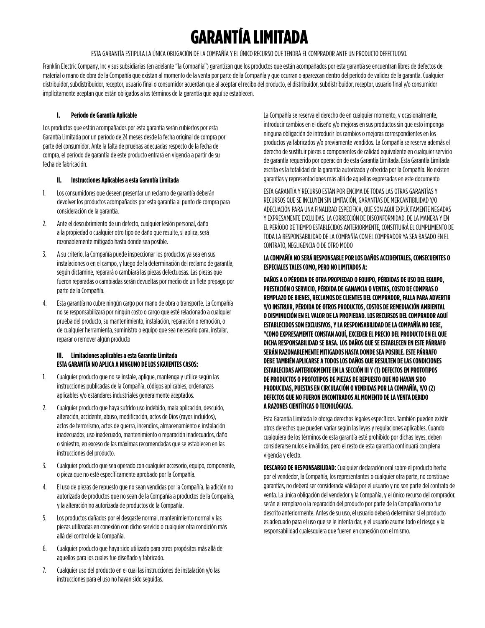# GARANTÍA LIMITADA

ESTA GARANTÍA ESTIPULA LA ÚNICA OBLIGACIÓN DE LA COMPAÑÍA Y EL ÚNICO RECURSO QUE TENDRÁ EL COMPRADOR ANTE UN PRODUCTO DEFECTUOSO.

Franklin Electric Company, Inc y sus subsidiarias (en adelante "la Compañía") garantizan que los productos que están acompañados por esta garantía se encuentran libres de defectos de material o mano de obra de la Compañía que existan al momento de la venta por parte de la Compañía y que ocurran o aparezcan dentro del período de validez de la garantía. Cualquier distribuidor, subdistribuidor, receptor, usuario final o consumidor acuerdan que al aceptar el recibo del producto, el distribuidor, subdistribuidor, receptor, usuario final y/o consumidor implícitamente aceptan que están obligados a los términos de la garantía que aquí se establecen.

#### **I. Período de Garantía Aplicable**

Los productos que están acompañados por esta garantía serán cubiertos por esta Garantía Limitada por un período de 24 meses desde la fecha original de compra por parte del consumidor. Ante la falta de pruebas adecuadas respecto de la fecha de compra, el período de garantía de este producto entrará en vigencia a partir de su fecha de fabricación.

#### **II. Instrucciones Aplicables a esta Garantía Limitada**

- 1. Los consumidores que deseen presentar un reclamo de garantía deberán devolver los productos acompañados por esta garantía al punto de compra para consideración de la garantía.
- 2. Ante el descubrimiento de un defecto, cualquier lesión personal, daño a la propiedad o cualquier otro tipo de daño que resulte, si aplica, será razonablemente mitigado hasta donde sea posible.
- 3. A su criterio, la Compañía puede inspeccionar los productos ya sea en sus instalaciones o en el campo, y luego de la determinación del reclamo de garantía, según dictamine, reparará o cambiará las piezas defectuosas. Las piezas que fueron reparadas o cambiadas serán devueltas por medio de un flete prepago por parte de la Compañía.
- 4. Esta garantía no cubre ningún cargo por mano de obra o transporte. La Compañía no se responsabilizará por ningún costo o cargo que esté relacionado a cualquier prueba del producto, su mantenimiento, instalación, reparación o remoción, o de cualquier herramienta, suministro o equipo que sea necesario para, instalar, reparar o remover algún producto

#### **III. Limitaciones aplicables a esta Garantía Limitada ESTA GARANTÍA NO APLICA A NINGUNO DE LOS SIGUIENTES CASOS:**

- 1. Cualquier producto que no se instale, aplique, mantenga y utilice según las instrucciones publicadas de la Compañía, códigos aplicables, ordenanzas aplicables y/o estándares industriales generalmente aceptados.
- 2. Cualquier producto que haya sufrido uso indebido, mala aplicación, descuido, alteración, accidente, abuso, modificación, actos de Dios (rayos incluidos), actos de terrorismo, actos de guerra, incendios, almacenamiento e instalación inadecuados, uso inadecuado, mantenimiento o reparación inadecuados, daño o siniestro, en exceso de las máximas recomendadas que se establecen en las instrucciones del producto.
- 3. Cualquier producto que sea operado con cualquier accesorio, equipo, componente, o pieza que no esté específicamente aprobado por la Compañía.
- 4. El uso de piezas de repuesto que no sean vendidas por la Compañía, la adición no autorizada de productos que no sean de la Compañía a productos de la Compañía, y la alteración no autorizada de productos de la Compañía.
- 5. Los productos dañados por el desgaste normal, mantenimiento normal y las piezas utilizadas en conexión con dicho servicio o cualquier otra condición más allá del control de la Compañía.
- 6. Cualquier producto que haya sido utilizado para otros propósitos más allá de aquellos para los cuales fue diseñado y fabricado.
- 7. Cualquier uso del producto en el cual las instrucciones de instalación y/o las instrucciones para el uso no hayan sido seguidas.

La Compañía se reserva el derecho de en cualquier momento, y ocasionalmente, introducir cambios en el diseño y/o mejoras en sus productos sin que esto imponga ninguna obligación de introducir los cambios o mejoras correspondientes en los productos ya fabricados y/o previamente vendidos. La Compañía se reserva además el derecho de sustituir piezas o componentes de calidad equivalente en cualquier servicio de garantía requerido por operación de esta Garantía Limitada. Esta Garantía Limitada escrita es la totalidad de la garantía autorizada y ofrecida por la Compañía. No existen garantías y representaciones más allá de aquellas expresadas en este documento

ESTA GARANTÍA Y RECURSO ESTÁN POR ENCIMA DE TODAS LAS OTRAS GARANTÍAS Y RECURSOS QUE SE INCLUYEN SIN LIMITACIÓN, GARANTÍAS DE MERCANTIBILIDAD Y/O ADECUACIÓN PARA UNA FINALIDAD ESPECÍFICA, QUE SON AQUÍ EXPLÍCITAMENTE NEGADAS Y EXPRESAMENTE EXCLUIDAS. LA CORRECCIÓN DE DISCONFORMIDAD, DE LA MANERA Y EN EL PERÍODO DE TIEMPO ESTABLECIDOS ANTERIORMENTE, CONSTITUIRÁ EL CUMPLIMIENTO DE TODA LA RESPONSABILIDAD DE LA COMPAÑÍA CON EL COMPRADOR YA SEA BASADO EN EL CONTRATO, NEGLIGENCIA O DE OTRO MODO

#### **LA COMPAÑÍA NO SERÁ RESPONSABLE POR LOS DAÑOS ACCIDENTALES, CONSECUENTES O ESPECIALES TALES COMO, PERO NO LIMITADOS A:**

**DAÑOS A O PÉRDIDA DE OTRA PROPIEDAD O EQUIPO, PÉRDIDAS DE USO DEL EQUIPO, PRESTACIÓN O SERVICIO, PÉRDIDA DE GANANCIA O VENTAS, COSTO DE COMPRAS O REMPLAZO DE BIENES, RECLAMOS DE CLIENTES DEL COMPRADOR, FALLA PARA ADVERTIR Y/O INSTRUIR, PÉRDIDA DE OTROS PRODUCTOS, COSTOS DE REMEDIACIÓN AMBIENTAL O DISMINUCIÓN EN EL VALOR DE LA PROPIEDAD. LOS RECURSOS DEL COMPRADOR AQUÍ ESTABLECIDOS SON EXCLUSIVOS, Y LA RESPONSABILIDAD DE LA COMPAÑÍA NO DEBE, "COMO EXPRESAMENTE CONSTAN AQUÍ, EXCEDER EL PRECIO DEL PRODUCTO EN EL QUE DICHA RESPONSABILIDAD SE BASA. LOS DAÑOS QUE SE ESTABLECEN EN ESTE PÁRRAFO SERÁN RAZONABLEMENTE MITIGADOS HASTA DONDE SEA POSIBLE. ESTE PÁRRAFO DEBE TAMBIÉN APLICARSE A TODOS LOS DAÑOS QUE RESULTEN DE LAS CONDICIONES ESTABLECIDAS ANTERIORMENTE EN LA SECCIÓN III Y (1) DEFECTOS EN PROTOTIPOS DE PRODUCTOS O PROTOTIPOS DE PIEZAS DE REPUESTO QUE NO HAYAN SIDO PRODUCIDAS, PUESTAS EN CIRCULACIÓN O VENDIDAS POR LA COMPAÑÍA, Y/O (2) DEFECTOS QUE NO FUERON ENCONTRADOS AL MOMENTO DE LA VENTA DEBIDO A RAZONES CIENTÍFICAS O TECNOLÓGICAS.**

Esta Garantía Limitada le otorga derechos legales específicos. También pueden existir otros derechos que pueden variar según las leyes y regulaciones aplicables. Cuando cualquiera de los términos de esta garantía esté prohibido por dichas leyes, deben considerarse nulos e inválidos, pero el resto de esta garantía continuará con plena vigencia y efecto.

**DESCARGO DE RESPONSABILIDAD:** Cualquier declaración oral sobre el producto hecha por el vendedor, la Compañía, los representantes o cualquier otra parte, no constituye garantías, no deberá ser considerada válida por el usuario y no son parte del contrato de venta. La única obligación del vendedor y la Compañía, y el único recurso del comprador, serán el remplazo o la reparación del producto por parte de la Compañía como fue descrito anteriormente. Antes de su uso, el usuario deberá determinar si el producto es adecuado para el uso que se le intenta dar, y el usuario asume todo el riesgo y la responsabilidad cualesquiera que fueren en conexión con el mismo.